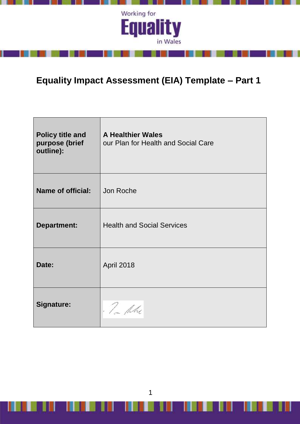

л

and the state of the

IJ

ı

# **Equality Impact Assessment (EIA) Template – Part 1**

| <b>Policy title and</b><br>purpose (brief<br>outline): | <b>A Healthier Wales</b><br>our Plan for Health and Social Care |
|--------------------------------------------------------|-----------------------------------------------------------------|
| <b>Name of official:</b>                               | Jon Roche                                                       |
| <b>Department:</b>                                     | <b>Health and Social Services</b>                               |
| Date:                                                  | April 2018                                                      |
| <b>Signature:</b>                                      | . Tom the                                                       |

1

ı

Ш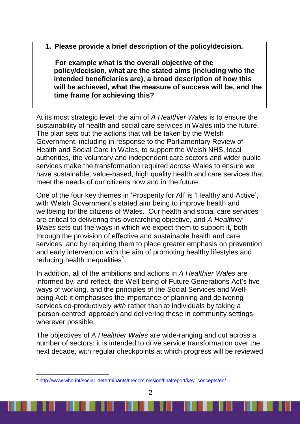**1. Please provide a brief description of the policy/decision.** 

 **For example what is the overall objective of the policy/decision, what are the stated aims (including who the intended beneficiaries are), a broad description of how this will be achieved, what the measure of success will be, and the time frame for achieving this?**

At its most strategic level, the aim of *A Healthier Wales* is to ensure the sustainability of health and social care services in Wales into the future. The plan sets out the actions that will be taken by the Welsh Government, including in response to the Parliamentary Review of Health and Social Care in Wales, to support the Welsh NHS, local authorities, the voluntary and independent care sectors and wider public services make the transformation required across Wales to ensure we have sustainable, value-based, high quality health and care services that meet the needs of our citizens now and in the future.

One of the four key themes in 'Prosperity for All' is 'Healthy and Active', with Welsh Government's stated aim being to improve health and wellbeing for the citizens of Wales. Our health and social care services are critical to delivering this overarching objective, and *A Healthier Wales* sets out the ways in which we expect them to support it, both through the provision of effective and sustainable health and care services, and by requiring them to place greater emphasis on prevention and early intervention with the aim of promoting healthy lifestyles and reducing health inequalities $<sup>1</sup>$ .</sup>

In addition, all of the ambitions and actions in *A Healthier Wales* are informed by, and reflect, the Well-being of Future Generations Act's five ways of working, and the principles of the Social Services and Wellbeing Act: it emphasises the importance of planning and delivering services co-productively *with* rather than *to* individuals by taking a 'person-centred' approach and delivering these in community settings wherever possible.

The objectives of *A Healthier Wales* are wide-ranging and cut across a number of sectors: it is intended to drive service transformation over the next decade, with regular checkpoints at which progress will be reviewed

-

<sup>&</sup>lt;sup>1</sup> [http://www.who.int/social\\_determinants/thecommission/finalreport/key\\_concepts/en/](http://www.who.int/social_determinants/thecommission/finalreport/key_concepts/en/)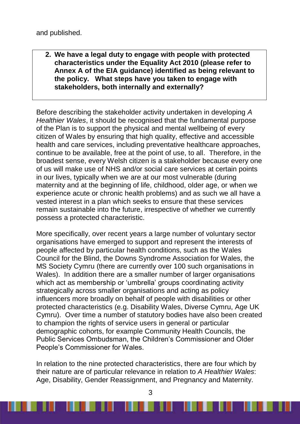**2. We have a legal duty to engage with people with protected characteristics under the Equality Act 2010 (please refer to Annex A of the EIA guidance) identified as being relevant to the policy. What steps have you taken to engage with stakeholders, both internally and externally?**

Before describing the stakeholder activity undertaken in developing *A Healthier Wales*, it should be recognised that the fundamental purpose of the Plan is to support the physical and mental wellbeing of every citizen of Wales by ensuring that high quality, effective and accessible health and care services, including preventative healthcare approaches, continue to be available, free at the point of use, to all. Therefore, in the broadest sense, every Welsh citizen is a stakeholder because every one of us will make use of NHS and/or social care services at certain points in our lives, typically when we are at our most vulnerable (during maternity and at the beginning of life, childhood, older age, or when we experience acute or chronic health problems) and as such we all have a vested interest in a plan which seeks to ensure that these services remain sustainable into the future, irrespective of whether we currently possess a protected characteristic.

More specifically, over recent years a large number of voluntary sector organisations have emerged to support and represent the interests of people affected by particular health conditions, such as the Wales Council for the Blind, the Downs Syndrome Association for Wales, the MS Society Cymru (there are currently over 100 such organisations in Wales). In addition there are a smaller number of larger organisations which act as membership or 'umbrella' groups coordinating activity strategically across smaller organisations and acting as policy influencers more broadly on behalf of people with disabilities or other protected characteristics (e.g. Disability Wales, Diverse Cymru, Age UK Cymru). Over time a number of statutory bodies have also been created to champion the rights of service users in general or particular demographic cohorts, for example Community Health Councils, the Public Services Ombudsman, the Children's Commissioner and Older People's Commissioner for Wales.

In relation to the nine protected characteristics, there are four which by their nature are of particular relevance in relation to *A Healthier Wales*: Age, Disability, Gender Reassignment, and Pregnancy and Maternity.

. . . .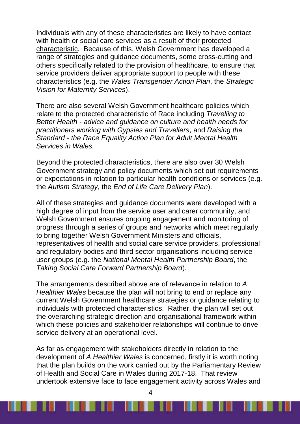Individuals with any of these characteristics are likely to have contact with health or social care services as a result of their protected characteristic. Because of this, Welsh Government has developed a range of strategies and guidance documents, some cross-cutting and others specifically related to the provision of healthcare, to ensure that service providers deliver appropriate support to people with these characteristics (e.g. the *Wales Transgender Action Plan*, the *Strategic Vision for Maternity Services*).

There are also several Welsh Government healthcare policies which relate to the protected characteristic of Race including *Travelling to Better Health - advice and guidance on culture and health needs for practitioners working with Gypsies and Travellers*, and *Raising the Standard - the Race Equality Action Plan for Adult Mental Health Services in Wales.*

Beyond the protected characteristics, there are also over 30 Welsh Government strategy and policy documents which set out requirements or expectations in relation to particular health conditions or services (e.g. the *Autism Strategy*, the *End of Life Care Delivery Plan*).

All of these strategies and guidance documents were developed with a high degree of input from the service user and carer community, and Welsh Government ensures ongoing engagement and monitoring of progress through a series of groups and networks which meet regularly to bring together Welsh Government Ministers and officials, representatives of health and social care service providers, professional and regulatory bodies and third sector organisations including service user groups (e.g. the *National Mental Health Partnership Board*, the *Taking Social Care Forward Partnership Board*).

The arrangements described above are of relevance in relation to *A Healthier Wales* because the plan will not bring to end or replace any current Welsh Government healthcare strategies or guidance relating to individuals with protected characteristics. Rather, the plan will set out the overarching strategic direction and organisational framework within which these policies and stakeholder relationships will continue to drive service delivery at an operational level.

As far as engagement with stakeholders directly in relation to the development of *A Healthier Wales* is concerned, firstly it is worth noting that the plan builds on the work carried out by the Parliamentary Review of Health and Social Care in Wales during 2017-18. That review undertook extensive face to face engagement activity across Wales and

. .

. . . . . . . . . .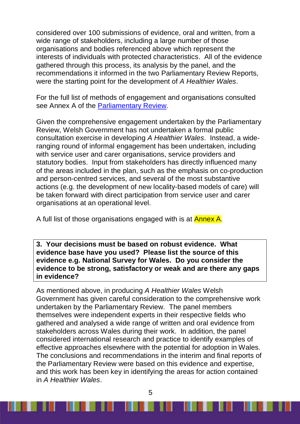considered over 100 submissions of evidence, oral and written, from a wide range of stakeholders, including a large number of those organisations and bodies referenced above which represent the interests of individuals with protected characteristics. All of the evidence gathered through this process, its analysis by the panel, and the recommendations it informed in the two Parliamentary Review Reports, were the starting point for the development of *A Healthier Wales*.

For the full list of methods of engagement and organisations consulted see Annex A of the [Parliamentary Review.](http://gov.wales/docs/dhss/publications/180116reviewen.pdf)

Given the comprehensive engagement undertaken by the Parliamentary Review, Welsh Government has not undertaken a formal public consultation exercise in developing *A Healthier Wales*. Instead, a wideranging round of informal engagement has been undertaken, including with service user and carer organisations, service providers and statutory bodies. Input from stakeholders has directly influenced many of the areas included in the plan, such as the emphasis on co-production and person-centred services, and several of the most substantive actions (e.g. the development of new locality-based models of care) will be taken forward with direct participation from service user and carer organisations at an operational level.

A full list of those organisations engaged with is at **Annex A**.

**3. Your decisions must be based on robust evidence. What evidence base have you used? Please list the source of this evidence e.g. National Survey for Wales. Do you consider the evidence to be strong, satisfactory or weak and are there any gaps in evidence?**

As mentioned above, in producing *A Healthier Wales* Welsh Government has given careful consideration to the comprehensive work undertaken by the Parliamentary Review. The panel members themselves were independent experts in their respective fields who gathered and analysed a wide range of written and oral evidence from stakeholders across Wales during their work. In addition, the panel considered international research and practice to identify examples of effective approaches elsewhere with the potential for adoption in Wales. The conclusions and recommendations in the interim and final reports of the Parliamentary Review were based on this evidence and expertise, and this work has been key in identifying the areas for action contained in *A Healthier Wales*.

. . . .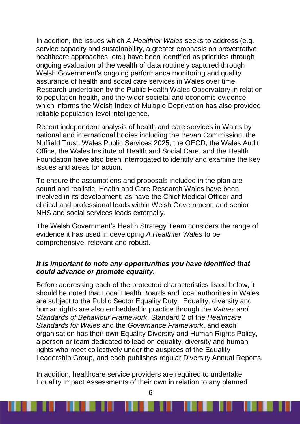In addition, the issues which *A Healthier Wales* seeks to address (e.g. service capacity and sustainability, a greater emphasis on preventative healthcare approaches, etc.) have been identified as priorities through ongoing evaluation of the wealth of data routinely captured through Welsh Government's ongoing performance monitoring and quality assurance of health and social care services in Wales over time. Research undertaken by the Public Health Wales Observatory in relation to population health, and the wider societal and economic evidence which informs the Welsh Index of Multiple Deprivation has also provided reliable population-level intelligence.

Recent independent analysis of health and care services in Wales by national and international bodies including the Bevan Commission, the Nuffield Trust, Wales Public Services 2025, the OECD, the Wales Audit Office, the Wales Institute of Health and Social Care, and the Health Foundation have also been interrogated to identify and examine the key issues and areas for action.

To ensure the assumptions and proposals included in the plan are sound and realistic, Health and Care Research Wales have been involved in its development, as have the Chief Medical Officer and clinical and professional leads within Welsh Government, and senior NHS and social services leads externally.

The Welsh Government's Health Strategy Team considers the range of evidence it has used in developing *A Healthier Wales* to be comprehensive, relevant and robust.

#### *It is important to note any opportunities you have identified that could advance or promote equality.*

Before addressing each of the protected characteristics listed below, it should be noted that Local Health Boards and local authorities in Wales are subject to the Public Sector Equality Duty. Equality, diversity and human rights are also embedded in practice through the *Values and Standards of Behaviour Framework*, Standard 2 of the *Healthcare Standards for Wales* and the *Governance Framework*, and each organisation has their own Equality Diversity and Human Rights Policy, a person or team dedicated to lead on equality, diversity and human rights who meet collectively under the auspices of the Equality Leadership Group, and each publishes regular Diversity Annual Reports.

In addition, healthcare service providers are required to undertake Equality Impact Assessments of their own in relation to any planned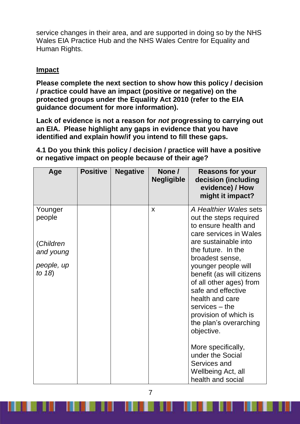service changes in their area, and are supported in doing so by the NHS Wales EIA Practice Hub and the NHS Wales Centre for Equality and Human Rights.

### **Impact**

**Please complete the next section to show how this policy / decision / practice could have an impact (positive or negative) on the protected groups under the Equality Act 2010 (refer to the EIA guidance document for more information).**

**Lack of evidence is not a reason for** *not* **progressing to carrying out an EIA. Please highlight any gaps in evidence that you have identified and explain how/if you intend to fill these gaps.**

**4.1 Do you think this policy / decision / practice will have a positive or negative impact on people because of their age?**

| Age                                                                    | <b>Positive</b> | <b>Negative</b> | None /<br><b>Negligible</b> | <b>Reasons for your</b><br>decision (including<br>evidence) / How<br>might it impact?                                                                                                                                                                                                                                                       |
|------------------------------------------------------------------------|-----------------|-----------------|-----------------------------|---------------------------------------------------------------------------------------------------------------------------------------------------------------------------------------------------------------------------------------------------------------------------------------------------------------------------------------------|
| Younger<br>people<br>(Children<br>and young<br>people, up<br>to $18$ ) |                 |                 | X                           | A Healthier Wales sets<br>out the steps required<br>to ensure health and<br>care services in Wales<br>are sustainable into<br>the future. In the<br>broadest sense,<br>younger people will<br>benefit (as will citizens<br>of all other ages) from<br>safe and effective<br>health and care<br>$s$ ervices $-$ the<br>provision of which is |
|                                                                        |                 |                 |                             | the plan's overarching<br>objective.<br>More specifically,<br>under the Social<br>Services and<br>Wellbeing Act, all<br>health and social                                                                                                                                                                                                   |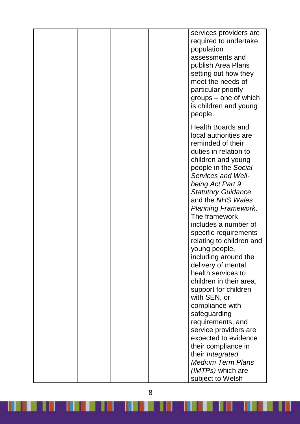|  | services providers are<br>required to undertake<br>population<br>assessments and<br>publish Area Plans<br>setting out how they<br>meet the needs of<br>particular priority<br>groups – one of which<br>is children and young<br>people.                                                                                                                                                                                                                                                                                                                                                                                         |
|--|---------------------------------------------------------------------------------------------------------------------------------------------------------------------------------------------------------------------------------------------------------------------------------------------------------------------------------------------------------------------------------------------------------------------------------------------------------------------------------------------------------------------------------------------------------------------------------------------------------------------------------|
|  | Health Boards and<br>local authorities are<br>reminded of their<br>duties in relation to<br>children and young<br>people in the Social<br>Services and Well-<br>being Act Part 9<br><b>Statutory Guidance</b><br>and the NHS Wales<br><b>Planning Framework.</b><br>The framework<br>includes a number of<br>specific requirements<br>relating to children and<br>young people,<br>including around the<br>delivery of mental<br>health services to<br>children in their area,<br>support for children<br>with SEN, or<br>compliance with<br>safeguarding<br>requirements, and<br>service providers are<br>expected to evidence |
|  | their compliance in<br>their Integrated<br><b>Medium Term Plans</b><br>(IMTPs) which are<br>subject to Welsh                                                                                                                                                                                                                                                                                                                                                                                                                                                                                                                    |

<u> Karabatan Kabupatén Karabatan Ing Kabupatén Ing Kabupatén </u>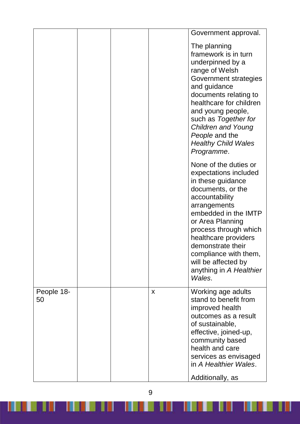|                  |   | Government approval.                                                                                                                                                                                                                                                                                                              |
|------------------|---|-----------------------------------------------------------------------------------------------------------------------------------------------------------------------------------------------------------------------------------------------------------------------------------------------------------------------------------|
|                  |   | The planning<br>framework is in turn<br>underpinned by a<br>range of Welsh<br>Government strategies<br>and guidance<br>documents relating to<br>healthcare for children<br>and young people,<br>such as Together for<br><b>Children and Young</b><br>People and the<br><b>Healthy Child Wales</b><br>Programme.                   |
|                  |   | None of the duties or<br>expectations included<br>in these guidance<br>documents, or the<br>accountability<br>arrangements<br>embedded in the IMTP<br>or Area Planning<br>process through which<br>healthcare providers<br>demonstrate their<br>compliance with them,<br>will be affected by<br>anything in A Healthier<br>Wales. |
| People 18-<br>50 | X | Working age adults<br>stand to benefit from<br>improved health<br>outcomes as a result<br>of sustainable,<br>effective, joined-up,<br>community based<br>health and care<br>services as envisaged<br>in A Healthier Wales.<br>Additionally, as                                                                                    |

9

<u> 1999 - Jan Harry Harry Harry Harry Harry Harry Harry Harry Harry Harry Harry Harry Harry Harry Harry Harry Har</u>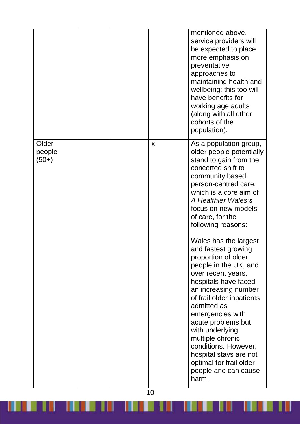|                            |  |   | mentioned above,<br>service providers will<br>be expected to place<br>more emphasis on<br>preventative<br>approaches to<br>maintaining health and<br>wellbeing: this too will<br>have benefits for<br>working age adults<br>(along with all other<br>cohorts of the<br>population).                                                                                                                                                                                                                                                                                                                                                                                               |
|----------------------------|--|---|-----------------------------------------------------------------------------------------------------------------------------------------------------------------------------------------------------------------------------------------------------------------------------------------------------------------------------------------------------------------------------------------------------------------------------------------------------------------------------------------------------------------------------------------------------------------------------------------------------------------------------------------------------------------------------------|
| Older<br>people<br>$(50+)$ |  | X | As a population group,<br>older people potentially<br>stand to gain from the<br>concerted shift to<br>community based,<br>person-centred care,<br>which is a core aim of<br>A Healthier Wales's<br>focus on new models<br>of care, for the<br>following reasons:<br>Wales has the largest<br>and fastest growing<br>proportion of older<br>people in the UK, and<br>over recent years,<br>hospitals have faced<br>an increasing number<br>of frail older inpatients<br>admitted as<br>emergencies with<br>acute problems but<br>with underlying<br>multiple chronic<br>conditions. However,<br>hospital stays are not<br>optimal for frail older<br>people and can cause<br>harm. |

<u> Karajini kata da wakati kata mai ya kutoka kata ya kutoka kata ya kutoka kata ya kutoka kata ya kata ya kata </u>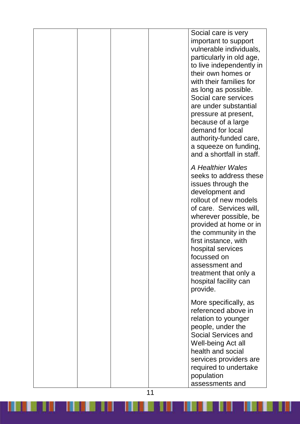|  |  | Social care is very<br>important to support<br>vulnerable individuals,<br>particularly in old age,<br>to live independently in<br>their own homes or<br>with their families for<br>as long as possible.<br>Social care services<br>are under substantial<br>pressure at present,<br>because of a large<br>demand for local<br>authority-funded care,<br>a squeeze on funding,<br>and a shortfall in staff. |
|--|--|------------------------------------------------------------------------------------------------------------------------------------------------------------------------------------------------------------------------------------------------------------------------------------------------------------------------------------------------------------------------------------------------------------|
|  |  | A Healthier Wales<br>seeks to address these<br>issues through the<br>development and<br>rollout of new models<br>of care. Services will,<br>wherever possible, be<br>provided at home or in<br>the community in the<br>first instance, with<br>hospital services<br>focussed on<br>assessment and<br>treatment that only a<br>hospital facility can<br>provide.                                            |
|  |  | More specifically, as<br>referenced above in<br>relation to younger<br>people, under the<br><b>Social Services and</b><br>Well-being Act all<br>health and social<br>services providers are<br>required to undertake<br>population<br>assessments and                                                                                                                                                      |

<u> Karajini kata da wakati kata mai ya kutoka kata ya kutoka kata ya kutoka kata ya kutoka kata ya kata ya kata </u>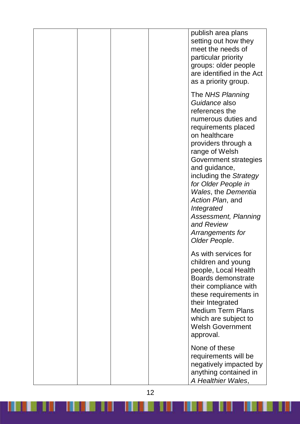|  | publish area plans<br>setting out how they<br>meet the needs of<br>particular priority<br>groups: older people<br>are identified in the Act<br>as a priority group.                                                                                                                                                                                                                               |
|--|---------------------------------------------------------------------------------------------------------------------------------------------------------------------------------------------------------------------------------------------------------------------------------------------------------------------------------------------------------------------------------------------------|
|  | The NHS Planning<br>Guidance also<br>references the<br>numerous duties and<br>requirements placed<br>on healthcare<br>providers through a<br>range of Welsh<br>Government strategies<br>and guidance,<br>including the Strategy<br>for Older People in<br><b>Wales, the Dementia</b><br>Action Plan, and<br>Integrated<br>Assessment, Planning<br>and Review<br>Arrangements for<br>Older People. |
|  | As with services for<br>children and young<br>people, Local Health<br>Boards demonstrate<br>their compliance with<br>these requirements in<br>their Integrated<br><b>Medium Term Plans</b><br>which are subject to<br><b>Welsh Government</b><br>approval.                                                                                                                                        |
|  | None of these<br>requirements will be<br>negatively impacted by<br>anything contained in<br>A Healthier Wales,                                                                                                                                                                                                                                                                                    |

<u> Kanada kata salah sahiji désa di kacamatan di Kabupatén Baga</u>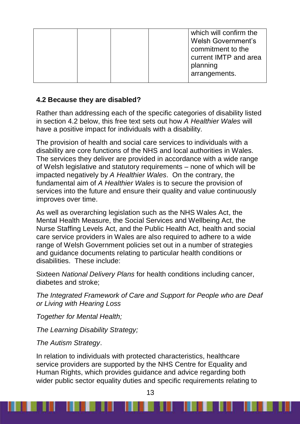|  |  | which will confirm the    |
|--|--|---------------------------|
|  |  | <b>Welsh Government's</b> |
|  |  | commitment to the         |
|  |  | current IMTP and area     |
|  |  | planning                  |
|  |  | arrangements.             |
|  |  |                           |

# **4.2 Because they are disabled?**

Rather than addressing each of the specific categories of disability listed in section 4.2 below, this free text sets out how *A Healthier Wales* will have a positive impact for individuals with a disability.

The provision of health and social care services to individuals with a disability are core functions of the NHS and local authorities in Wales. The services they deliver are provided in accordance with a wide range of Welsh legislative and statutory requirements – none of which will be impacted negatively by *A Healthier Wales*. On the contrary, the fundamental aim of *A Healthier Wales* is to secure the provision of services into the future and ensure their quality and value continuously improves over time.

As well as overarching legislation such as the NHS Wales Act, the Mental Health Measure, the Social Services and Wellbeing Act, the Nurse Staffing Levels Act, and the Public Health Act, health and social care service providers in Wales are also required to adhere to a wide range of Welsh Government policies set out in a number of strategies and guidance documents relating to particular health conditions or disabilities. These include:

Sixteen *National Delivery Plans* for health conditions including cancer, diabetes and stroke;

*The Integrated Framework of Care and Support for People who are Deaf or Living with Hearing Loss* 

*Together for Mental Health;*

*The Learning Disability Strategy;*

*The Autism Strategy*.

In relation to individuals with protected characteristics, healthcare service providers are supported by the NHS Centre for Equality and Human Rights, which provides guidance and advice regarding both wider public sector equality duties and specific requirements relating to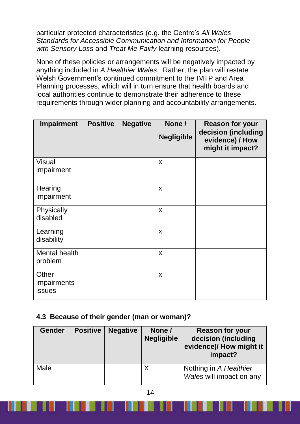particular protected characteristics (e.g. the Centre's *All Wales Standards for Accessible Communication and Information for People with Sensory Loss* and *Treat Me Fairly* learning resources).

None of these policies or arrangements will be negatively impacted by anything included in *A Healthier Wales*. Rather, the plan will restate Welsh Government's continued commitment to the IMTP and Area Planning processes, which will in turn ensure that health boards and local authorities continue to demonstrate their adherence to these requirements through wider planning and accountability arrangements.

| <b>Impairment</b>                     | <b>Positive</b> | <b>Negative</b> | None /<br><b>Negligible</b> | <b>Reason for your</b><br>decision (including<br>evidence) / How<br>might it impact? |
|---------------------------------------|-----------------|-----------------|-----------------------------|--------------------------------------------------------------------------------------|
| <b>Visual</b><br>impairment           |                 |                 | X                           |                                                                                      |
| Hearing<br>impairment                 |                 |                 | X                           |                                                                                      |
| Physically<br>disabled                |                 |                 | X                           |                                                                                      |
| Learning<br>disability                |                 |                 | $\boldsymbol{\mathsf{X}}$   |                                                                                      |
| Mental health<br>problem              |                 |                 | X                           |                                                                                      |
| Other<br>impairments<br><b>issues</b> |                 |                 | X                           |                                                                                      |

### **4.3 Because of their gender (man or woman)?**

| <b>Gender</b> | <b>Positive</b> | <b>Negative</b> | None /<br><b>Negligible</b> | <b>Reason for your</b><br>decision (including<br>evidence)/ How might it<br>impact? |
|---------------|-----------------|-----------------|-----------------------------|-------------------------------------------------------------------------------------|
| Male          |                 |                 | Y                           | Nothing in A Healthier<br>Wales will impact on any                                  |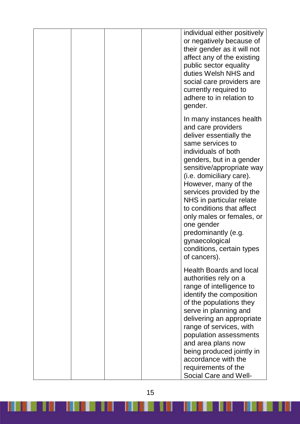|  |  | individual either positively<br>or negatively because of<br>their gender as it will not<br>affect any of the existing<br>public sector equality<br>duties Welsh NHS and<br>social care providers are<br>currently required to<br>adhere to in relation to<br>gender.                                                                                                                                                                                    |
|--|--|---------------------------------------------------------------------------------------------------------------------------------------------------------------------------------------------------------------------------------------------------------------------------------------------------------------------------------------------------------------------------------------------------------------------------------------------------------|
|  |  | In many instances health<br>and care providers<br>deliver essentially the<br>same services to<br>individuals of both<br>genders, but in a gender<br>sensitive/appropriate way<br>(i.e. domiciliary care).<br>However, many of the<br>services provided by the<br>NHS in particular relate<br>to conditions that affect<br>only males or females, or<br>one gender<br>predominantly (e.g.<br>gynaecological<br>conditions, certain types<br>of cancers). |
|  |  | <b>Health Boards and local</b><br>authorities rely on a<br>range of intelligence to<br>identify the composition<br>of the populations they<br>serve in planning and<br>delivering an appropriate<br>range of services, with<br>population assessments<br>and area plans now<br>being produced jointly in<br>accordance with the<br>requirements of the<br>Social Care and Well-                                                                         |

15

W.

<u> TELEVILLE</u>

Ш

IJ

Ш

<u> III de liberto de la pro</u>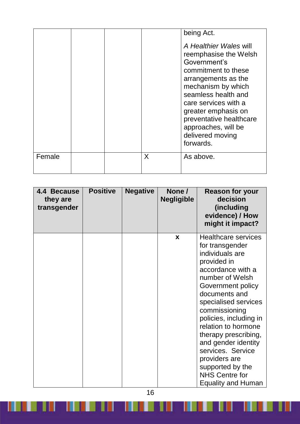| Female |  |   | being Act.<br>A Healthier Wales will<br>reemphasise the Welsh<br>Government's<br>commitment to these<br>arrangements as the<br>mechanism by which<br>seamless health and<br>care services with a<br>greater emphasis on<br>preventative healthcare<br>approaches, will be<br>delivered moving<br>forwards. |
|--------|--|---|------------------------------------------------------------------------------------------------------------------------------------------------------------------------------------------------------------------------------------------------------------------------------------------------------------|
|        |  | X | As above.                                                                                                                                                                                                                                                                                                  |

| 4.4 Because<br>they are<br>transgender | <b>Positive</b> | <b>Negative</b> | None /<br><b>Negligible</b> | <b>Reason for your</b><br>decision<br>(including<br>evidence) / How<br>might it impact?                                                                                                                                                                                                                                                                                                                                |
|----------------------------------------|-----------------|-----------------|-----------------------------|------------------------------------------------------------------------------------------------------------------------------------------------------------------------------------------------------------------------------------------------------------------------------------------------------------------------------------------------------------------------------------------------------------------------|
|                                        |                 |                 | X                           | <b>Healthcare services</b><br>for transgender<br>individuals are<br>provided in<br>accordance with a<br>number of Welsh<br>Government policy<br>documents and<br>specialised services<br>commissioning<br>policies, including in<br>relation to hormone<br>therapy prescribing,<br>and gender identity<br>services. Service<br>providers are<br>supported by the<br><b>NHS Centre for</b><br><b>Equality and Human</b> |

16

<u> Kanada kata sa matang kalendar sa Pangangang Pangangang Pangangang Pangangang Pangangang Pangangang Pangangang Pangangang Pangangang Pangangang Pangangang Pangangang Pangangang Pangangang Pangangang Pangangang Pangangang</u>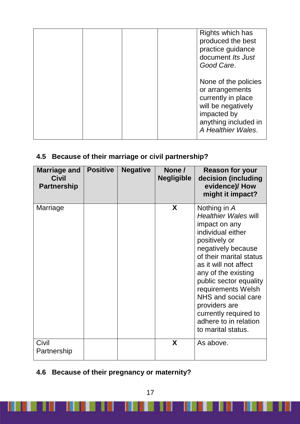|  |  | Rights which has<br>produced the best<br>practice guidance<br>document Its Just<br>Good Care.                                                    |
|--|--|--------------------------------------------------------------------------------------------------------------------------------------------------|
|  |  | None of the policies<br>or arrangements<br>currently in place<br>will be negatively<br>impacted by<br>anything included in<br>A Healthier Wales. |

# **4.5 Because of their marriage or civil partnership?**

| <b>Marriage and</b><br><b>Civil</b><br><b>Partnership</b> | <b>Positive</b> | <b>Negative</b> | None /<br><b>Negligible</b> | <b>Reason for your</b><br>decision (including<br>evidence)/ How<br>might it impact?                                                                                                                                                                                                                                                                                 |
|-----------------------------------------------------------|-----------------|-----------------|-----------------------------|---------------------------------------------------------------------------------------------------------------------------------------------------------------------------------------------------------------------------------------------------------------------------------------------------------------------------------------------------------------------|
| Marriage                                                  |                 |                 | X                           | Nothing in A<br><b>Healthier Wales will</b><br>impact on any<br>individual either<br>positively or<br>negatively because<br>of their marital status<br>as it will not affect<br>any of the existing<br>public sector equality<br>requirements Welsh<br>NHS and social care<br>providers are<br>currently required to<br>adhere to in relation<br>to marital status. |
| Civil<br>Partnership                                      |                 |                 | X                           | As above.                                                                                                                                                                                                                                                                                                                                                           |

# **4.6 Because of their pregnancy or maternity?**

H

a de 1900 de jaro de 1910.<br>De 1910 de 1910 de jaro de 1910 de 1910 de 1910 de 1910 de 1910 de 1910 de 1910 de 1910 de 1910 de 1910 de 19

K.

<u> Literatur in den sta</u>

H

an an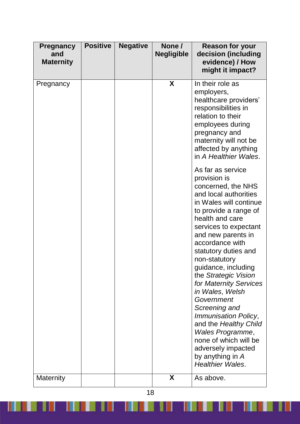| <b>Pregnancy</b><br>and<br><b>Maternity</b> | <b>Positive</b> | <b>Negative</b> | None /<br><b>Negligible</b> | <b>Reason for your</b><br>decision (including<br>evidence) / How<br>might it impact?                                                                                                                                                                                                                                                                                                                                                                                                                                                                                   |
|---------------------------------------------|-----------------|-----------------|-----------------------------|------------------------------------------------------------------------------------------------------------------------------------------------------------------------------------------------------------------------------------------------------------------------------------------------------------------------------------------------------------------------------------------------------------------------------------------------------------------------------------------------------------------------------------------------------------------------|
| Pregnancy                                   |                 |                 | X                           | In their role as<br>employers,<br>healthcare providers'<br>responsibilities in<br>relation to their<br>employees during<br>pregnancy and<br>maternity will not be<br>affected by anything<br>in A Healthier Wales.                                                                                                                                                                                                                                                                                                                                                     |
|                                             |                 |                 |                             | As far as service<br>provision is<br>concerned, the NHS<br>and local authorities<br>in Wales will continue<br>to provide a range of<br>health and care<br>services to expectant<br>and new parents in<br>accordance with<br>statutory duties and<br>non-statutory<br>guidance, including<br>the Strategic Vision<br>for Maternity Services<br>in Wales, Welsh<br>Government<br>Screening and<br><b>Immunisation Policy,</b><br>and the Healthy Child<br>Wales Programme,<br>none of which will be<br>adversely impacted<br>by anything in A<br><b>Healthier Wales.</b> |
| Maternity                                   |                 |                 | X                           | As above.                                                                                                                                                                                                                                                                                                                                                                                                                                                                                                                                                              |

<u> Karajan kalendar yang berasal dalam kalendar dan berasal dalam pada sebagai dalam kalendar dan berasal dalam </u>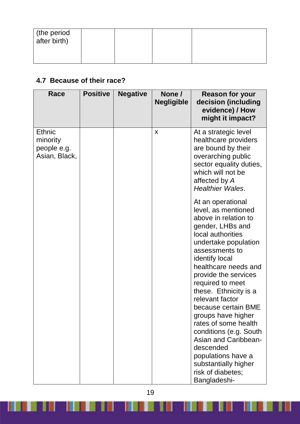| the period<br>after birth) |  |  |
|----------------------------|--|--|
|                            |  |  |

# **4.7 Because of their race?**

| Race                                                      | <b>Positive</b> | <b>Negative</b> | None /<br><b>Negligible</b> | <b>Reason for your</b><br>decision (including<br>evidence) / How<br>might it impact?                                                                                                                                                                                                                                                                                                                                                                                                                                |
|-----------------------------------------------------------|-----------------|-----------------|-----------------------------|---------------------------------------------------------------------------------------------------------------------------------------------------------------------------------------------------------------------------------------------------------------------------------------------------------------------------------------------------------------------------------------------------------------------------------------------------------------------------------------------------------------------|
| <b>Ethnic</b><br>minority<br>people e.g.<br>Asian, Black, |                 |                 | X                           | At a strategic level<br>healthcare providers<br>are bound by their<br>overarching public<br>sector equality duties,<br>which will not be<br>affected by A<br><b>Healthier Wales.</b>                                                                                                                                                                                                                                                                                                                                |
|                                                           |                 |                 |                             | At an operational<br>level, as mentioned<br>above in relation to<br>gender, LHBs and<br>local authorities<br>undertake population<br>assessments to<br>identify local<br>healthcare needs and<br>provide the services<br>required to meet<br>these. Ethnicity is a<br>relevant factor<br>because certain BME<br>groups have higher<br>rates of some health<br>conditions (e.g. South<br><b>Asian and Caribbean-</b><br>descended<br>populations have a<br>substantially higher<br>risk of diabetes;<br>Bangladeshi- |

19

**III** 

Ш

<u> Timbu k</u>

<u>THE REPORT OF STATE OF STATE OF STATE OF STATE OF STATE OF STATE OF STATE OF STATE OF STATE OF STATE OF STATE OF STATE OF STATE OF STATE OF STATE OF STATE OF STATE OF STATE OF STATE OF STATE OF STATE OF STATE OF STATE OF </u>

Ш

 $\blacksquare$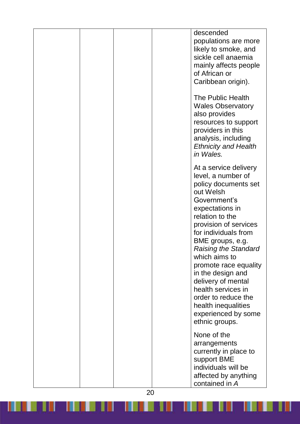|  | descended<br>populations are more<br>likely to smoke, and<br>sickle cell anaemia<br>mainly affects people<br>of African or<br>Caribbean origin).                                                                                                                                                                                                                                                                                             |
|--|----------------------------------------------------------------------------------------------------------------------------------------------------------------------------------------------------------------------------------------------------------------------------------------------------------------------------------------------------------------------------------------------------------------------------------------------|
|  | The Public Health<br><b>Wales Observatory</b><br>also provides<br>resources to support<br>providers in this<br>analysis, including<br><b>Ethnicity and Health</b><br>in Wales.                                                                                                                                                                                                                                                               |
|  | At a service delivery<br>level, a number of<br>policy documents set<br>out Welsh<br>Government's<br>expectations in<br>relation to the<br>provision of services<br>for individuals from<br>BME groups, e.g.<br><b>Raising the Standard</b><br>which aims to<br>promote race equality<br>in the design and<br>delivery of mental<br>health services in<br>order to reduce the<br>health inequalities<br>experienced by some<br>ethnic groups. |
|  | None of the<br>arrangements<br>currently in place to<br>support BME<br>individuals will be<br>affected by anything<br>contained in A                                                                                                                                                                                                                                                                                                         |

<u> Karajan kalendar yang berasal dalam kalendar dan berasal dalam pada sebagai dalam kalendar dan berasal dalam </u>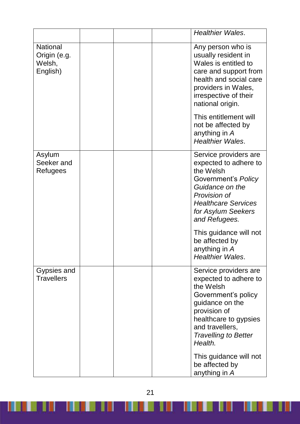|                                                       | <b>Healthier Wales.</b>                                                                                                                                                                                     |
|-------------------------------------------------------|-------------------------------------------------------------------------------------------------------------------------------------------------------------------------------------------------------------|
| <b>National</b><br>Origin (e.g.<br>Welsh,<br>English) | Any person who is<br>usually resident in<br>Wales is entitled to<br>care and support from<br>health and social care<br>providers in Wales,<br>irrespective of their<br>national origin.                     |
|                                                       | This entitlement will<br>not be affected by<br>anything in A<br><b>Healthier Wales.</b>                                                                                                                     |
| Asylum<br>Seeker and<br>Refugees                      | Service providers are<br>expected to adhere to<br>the Welsh<br>Government's Policy<br>Guidance on the<br>Provision of<br><b>Healthcare Services</b><br>for Asylum Seekers<br>and Refugees.                  |
|                                                       | This guidance will not<br>be affected by<br>anything in A<br><b>Healthier Wales.</b>                                                                                                                        |
| Gypsies and<br><b>Travellers</b>                      | Service providers are<br>expected to adhere to<br>the Welsh<br>Government's policy<br>guidance on the<br>provision of<br>healthcare to gypsies<br>and travellers,<br><b>Travelling to Better</b><br>Health. |
|                                                       | This guidance will not<br>be affected by<br>anything in A                                                                                                                                                   |

21

<u> Kanada ka kata ya katika katika katika katika katika katika katika katika katika katika katika katika katika katika katika katika katika katika katika katika katika katika katika katika katika katika katika katika katika</u>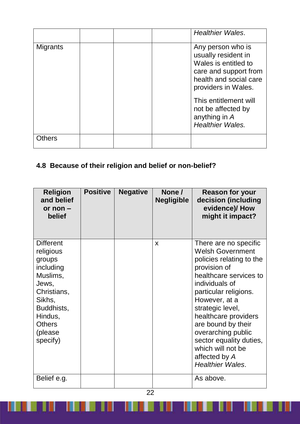|                 |  | <b>Healthier Wales.</b>                                                                                                                    |
|-----------------|--|--------------------------------------------------------------------------------------------------------------------------------------------|
| <b>Migrants</b> |  | Any person who is<br>usually resident in<br>Wales is entitled to<br>care and support from<br>health and social care<br>providers in Wales. |
|                 |  | This entitlement will<br>not be affected by<br>anything in A<br><b>Healthier Wales.</b>                                                    |
| <b>Others</b>   |  |                                                                                                                                            |

# **4.8 Because of their religion and belief or non-belief?**

| <b>Religion</b><br>and belief<br>or non $-$<br>belief                                                                                                               | <b>Positive</b> | <b>Negative</b> | None /<br><b>Negligible</b> | <b>Reason for your</b><br>decision (including<br>evidence)/How<br>might it impact?                                                                                                                                                                                                                                                                                     |
|---------------------------------------------------------------------------------------------------------------------------------------------------------------------|-----------------|-----------------|-----------------------------|------------------------------------------------------------------------------------------------------------------------------------------------------------------------------------------------------------------------------------------------------------------------------------------------------------------------------------------------------------------------|
| <b>Different</b><br>religious<br>groups<br>including<br>Muslims,<br>Jews,<br>Christians,<br>Sikhs,<br>Buddhists,<br>Hindus,<br><b>Others</b><br>(please<br>specify) |                 |                 | X                           | There are no specific<br><b>Welsh Government</b><br>policies relating to the<br>provision of<br>healthcare services to<br>individuals of<br>particular religions.<br>However, at a<br>strategic level,<br>healthcare providers<br>are bound by their<br>overarching public<br>sector equality duties,<br>which will not be<br>affected by A<br><b>Healthier Wales.</b> |
| Belief e.g.                                                                                                                                                         |                 |                 |                             | As above.                                                                                                                                                                                                                                                                                                                                                              |

W

 $\mathbb{I}$ 

<u> Timba k</u>

**TELESCOPE** 

 $\blacksquare$ 

<u> Here I</u>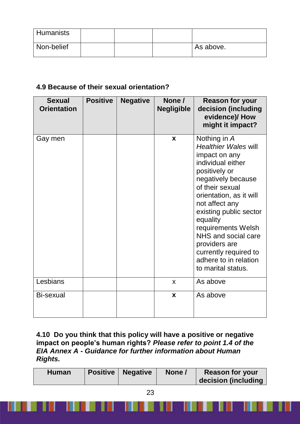| Humanists  |  |           |
|------------|--|-----------|
| Non-belief |  | As above. |

# **4.9 Because of their sexual orientation?**

| <b>Sexual</b><br><b>Orientation</b> | <b>Positive</b> | <b>Negative</b> | None /<br><b>Negligible</b> | <b>Reason for your</b><br>decision (including<br>evidence)/How<br>might it impact?                                                                                                                                                                                                                                                                                   |
|-------------------------------------|-----------------|-----------------|-----------------------------|----------------------------------------------------------------------------------------------------------------------------------------------------------------------------------------------------------------------------------------------------------------------------------------------------------------------------------------------------------------------|
| Gay men                             |                 |                 | $\mathbf{x}$                | Nothing in A<br><b>Healthier Wales will</b><br>impact on any<br>individual either<br>positively or<br>negatively because<br>of their sexual<br>orientation, as it will<br>not affect any<br>existing public sector<br>equality<br>requirements Welsh<br>NHS and social care<br>providers are<br>currently required to<br>adhere to in relation<br>to marital status. |
| Lesbians                            |                 |                 | X                           | As above                                                                                                                                                                                                                                                                                                                                                             |
| Bi-sexual                           |                 |                 | X                           | As above                                                                                                                                                                                                                                                                                                                                                             |

#### **4.10 Do you think that this policy will have a positive or negative impact on people's human rights?** *Please refer to point 1.4 of the EIA Annex A - Guidance for further information about Human Rights.*

w

- 18

8 W

| <b>Human</b> | <b>Positive   Negative</b> | None / | <b>Reason for your</b><br>decision (including |
|--------------|----------------------------|--------|-----------------------------------------------|
|              |                            |        |                                               |

IJ

88 H

5 W.U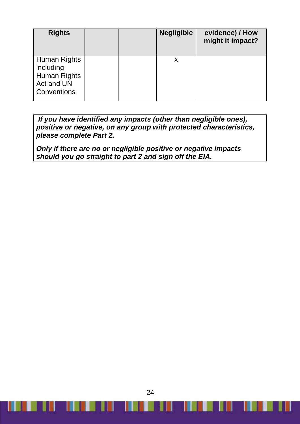| <b>Rights</b>                                                          |  | <b>Negligible</b> | evidence) / How<br>might it impact? |
|------------------------------------------------------------------------|--|-------------------|-------------------------------------|
| Human Rights<br>including<br>Human Rights<br>Act and UN<br>Conventions |  | X                 |                                     |

*If you have identified any impacts (other than negligible ones), positive or negative, on any group with protected characteristics, please complete Part 2.*

*Only if there are no or negligible positive or negative impacts should you go straight to part 2 and sign off the EIA.*

24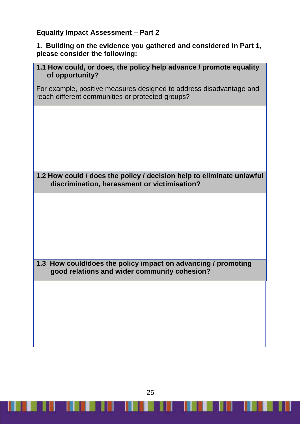## **Equality Impact Assessment – Part 2**

#### **1. Building on the evidence you gathered and considered in Part 1, please consider the following:**

|                 | 1.1 How could, or does, the policy help advance / promote equality |
|-----------------|--------------------------------------------------------------------|
| of opportunity? |                                                                    |

For example, positive measures designed to address disadvantage and reach different communities or protected groups?

**1.2 How could / does the policy / decision help to eliminate unlawful discrimination, harassment or victimisation?**

**1.3 How could/does the policy impact on advancing / promoting good relations and wider community cohesion?** 

25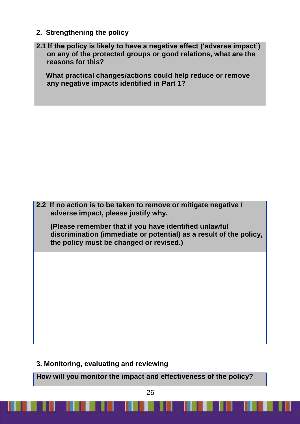**2. Strengthening the policy**

| 2.1 If the policy is likely to have a negative effect ('adverse impact')<br>on any of the protected groups or good relations, what are the<br>reasons for this?        |
|------------------------------------------------------------------------------------------------------------------------------------------------------------------------|
| What practical changes/actions could help reduce or remove<br>any negative impacts identified in Part 1?                                                               |
|                                                                                                                                                                        |
|                                                                                                                                                                        |
|                                                                                                                                                                        |
|                                                                                                                                                                        |
|                                                                                                                                                                        |
|                                                                                                                                                                        |
|                                                                                                                                                                        |
|                                                                                                                                                                        |
|                                                                                                                                                                        |
| 2.2 If no action is to be taken to remove or mitigate negative /<br>adverse impact, please justify why.                                                                |
| (Please remember that if you have identified unlawful<br>discrimination (immediate or potential) as a result of the policy,<br>the policy must be changed or revised.) |
|                                                                                                                                                                        |
|                                                                                                                                                                        |
|                                                                                                                                                                        |
|                                                                                                                                                                        |
|                                                                                                                                                                        |
|                                                                                                                                                                        |

**3. Monitoring, evaluating and reviewing**

ш

**How will you monitor the impact and effectiveness of the policy?**

ш

П

ı

H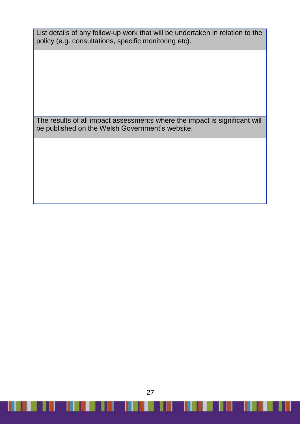List details of any follow-up work that will be undertaken in relation to the policy (e.g. consultations, specific monitoring etc).

The results of all impact assessments where the impact is significant will be published on the Welsh Government's website.

27

П

**THE REAL** 

I III - I BERELL